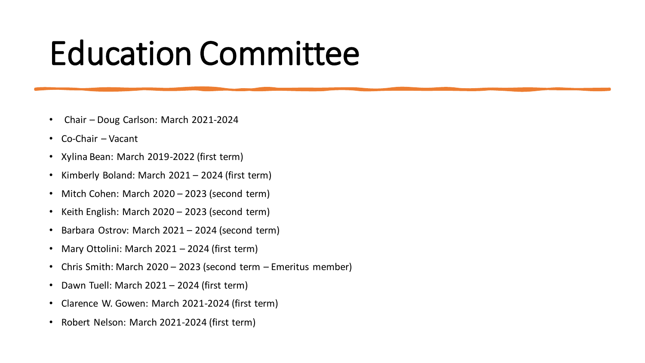## Education Committee

- Chair Doug Carlson: March 2021-2024
- Co-Chair Vacant
- Xylina Bean: March 2019-2022 (first term)
- Kimberly Boland: March 2021 2024 (first term)
- Mitch Cohen: March 2020 2023 (second term)
- Keith English: March 2020 2023 (second term)
- Barbara Ostrov: March 2021 2024 (second term)
- Mary Ottolini: March 2021 2024 (first term)
- Chris Smith: March 2020 2023 (second term Emeritus member)
- Dawn Tuell: March 2021 2024 (first term)
- Clarence W. Gowen: March 2021-2024 (first term)
- Robert Nelson: March 2021-2024 (first term)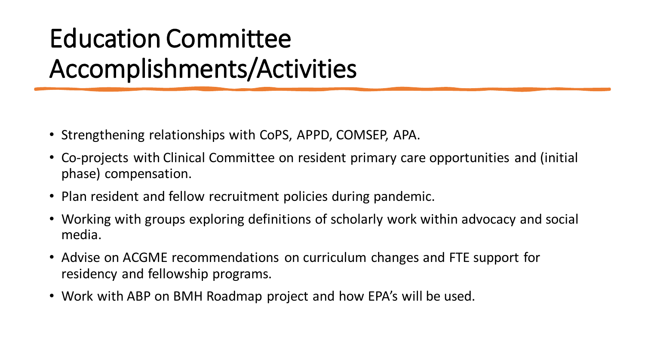## Education Committee Accomplishments/Activities

- Strengthening relationships with CoPS, APPD, COMSEP, APA.
- Co-projects with Clinical Committee on resident primary care opportunities and (initial phase) compensation.
- Plan resident and fellow recruitment policies during pandemic.
- Working with groups exploring definitions of scholarly work within advocacy and social media.
- Advise on ACGME recommendations on curriculum changes and FTE support for residency and fellowship programs.
- Work with ABP on BMH Roadmap project and how EPA's will be used.